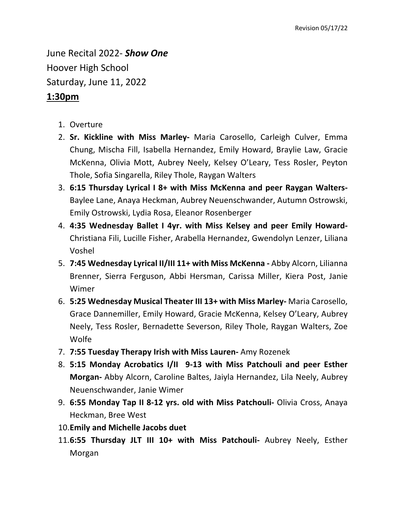June Recital 2022- *Show One* Hoover High School Saturday, June 11, 2022

## **1:30pm**

- 1. Overture
- 2. **Sr. Kickline with Miss Marley-** Maria Carosello, Carleigh Culver, Emma Chung, Mischa Fill, Isabella Hernandez, Emily Howard, Braylie Law, Gracie McKenna, Olivia Mott, Aubrey Neely, Kelsey O'Leary, Tess Rosler, Peyton Thole, Sofia Singarella, Riley Thole, Raygan Walters
- 3. **6:15 Thursday Lyrical I 8+ with Miss McKenna and peer Raygan Walters-**Baylee Lane, Anaya Heckman, Aubrey Neuenschwander, Autumn Ostrowski, Emily Ostrowski, Lydia Rosa, Eleanor Rosenberger
- 4. **4:35 Wednesday Ballet I 4yr. with Miss Kelsey and peer Emily Howard-**Christiana Fili, Lucille Fisher, Arabella Hernandez, Gwendolyn Lenzer, Liliana Voshel
- 5. **7:45 Wednesday Lyrical II/III 11+ with Miss McKenna -** Abby Alcorn, Lilianna Brenner, Sierra Ferguson, Abbi Hersman, Carissa Miller, Kiera Post, Janie Wimer
- 6. **5:25 Wednesday Musical Theater III 13+ with Miss Marley-** Maria Carosello, Grace Dannemiller, Emily Howard, Gracie McKenna, Kelsey O'Leary, Aubrey Neely, Tess Rosler, Bernadette Severson, Riley Thole, Raygan Walters, Zoe Wolfe
- 7. **7:55 Tuesday Therapy Irish with Miss Lauren-** Amy Rozenek
- 8. **5:15 Monday Acrobatics I/II 9-13 with Miss Patchouli and peer Esther Morgan-** Abby Alcorn, Caroline Baltes, Jaiyla Hernandez, Lila Neely, Aubrey Neuenschwander, Janie Wimer
- 9. **6:55 Monday Tap II 8-12 yrs. old with Miss Patchouli-** Olivia Cross, Anaya Heckman, Bree West
- 10.**Emily and Michelle Jacobs duet**
- 11.**6:55 Thursday JLT III 10+ with Miss Patchouli-** Aubrey Neely, Esther Morgan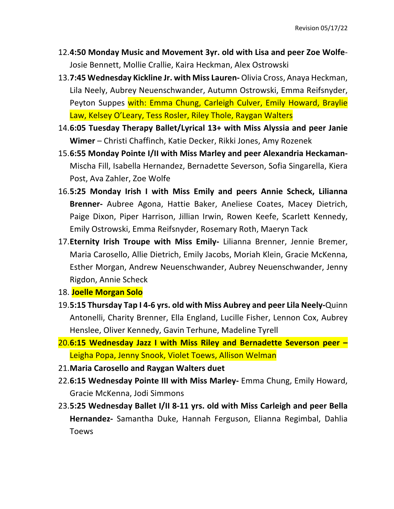- 12.**4:50 Monday Music and Movement 3yr. old with Lisa and peer Zoe Wolfe**-Josie Bennett, Mollie Crallie, Kaira Heckman, Alex Ostrowski
- 13.**7:45 Wednesday Kickline Jr. with Miss Lauren-** Olivia Cross, Anaya Heckman, Lila Neely, Aubrey Neuenschwander, Autumn Ostrowski, Emma Reifsnyder, Peyton Suppes with: Emma Chung, Carleigh Culver, Emily Howard, Braylie Law, Kelsey O'Leary, Tess Rosler, Riley Thole, Raygan Walters
- 14.**6:05 Tuesday Therapy Ballet/Lyrical 13+ with Miss Alyssia and peer Janie Wimer** – Christi Chaffinch, Katie Decker, Rikki Jones, Amy Rozenek
- 15.**6:55 Monday Pointe I/II with Miss Marley and peer Alexandria Heckaman-**Mischa Fill, Isabella Hernandez, Bernadette Severson, Sofia Singarella, Kiera Post, Ava Zahler, Zoe Wolfe
- 16.**5:25 Monday Irish I with Miss Emily and peers Annie Scheck, Lilianna Brenner-** Aubree Agona, Hattie Baker, Aneliese Coates, Macey Dietrich, Paige Dixon, Piper Harrison, Jillian Irwin, Rowen Keefe, Scarlett Kennedy, Emily Ostrowski, Emma Reifsnyder, Rosemary Roth, Maeryn Tack
- 17.**Eternity Irish Troupe with Miss Emily-** Lilianna Brenner, Jennie Bremer, Maria Carosello, Allie Dietrich, Emily Jacobs, Moriah Klein, Gracie McKenna, Esther Morgan, Andrew Neuenschwander, Aubrey Neuenschwander, Jenny Rigdon, Annie Scheck
- 18. **Joelle Morgan Solo**
- 19.**5:15 Thursday Tap I 4-6 yrs. old with Miss Aubrey and peer Lila Neely-**Quinn Antonelli, Charity Brenner, Ella England, Lucille Fisher, Lennon Cox, Aubrey Henslee, Oliver Kennedy, Gavin Terhune, Madeline Tyrell
- 20.**6:15 Wednesday Jazz I with Miss Riley and Bernadette Severson peer –** Leigha Popa, Jenny Snook, Violet Toews, Allison Welman
- 21.**Maria Carosello and Raygan Walters duet**
- 22.**6:15 Wednesday Pointe III with Miss Marley-** Emma Chung, Emily Howard, Gracie McKenna, Jodi Simmons
- 23.**5:25 Wednesday Ballet I/II 8-11 yrs. old with Miss Carleigh and peer Bella Hernandez-** Samantha Duke, Hannah Ferguson, Elianna Regimbal, Dahlia Toews